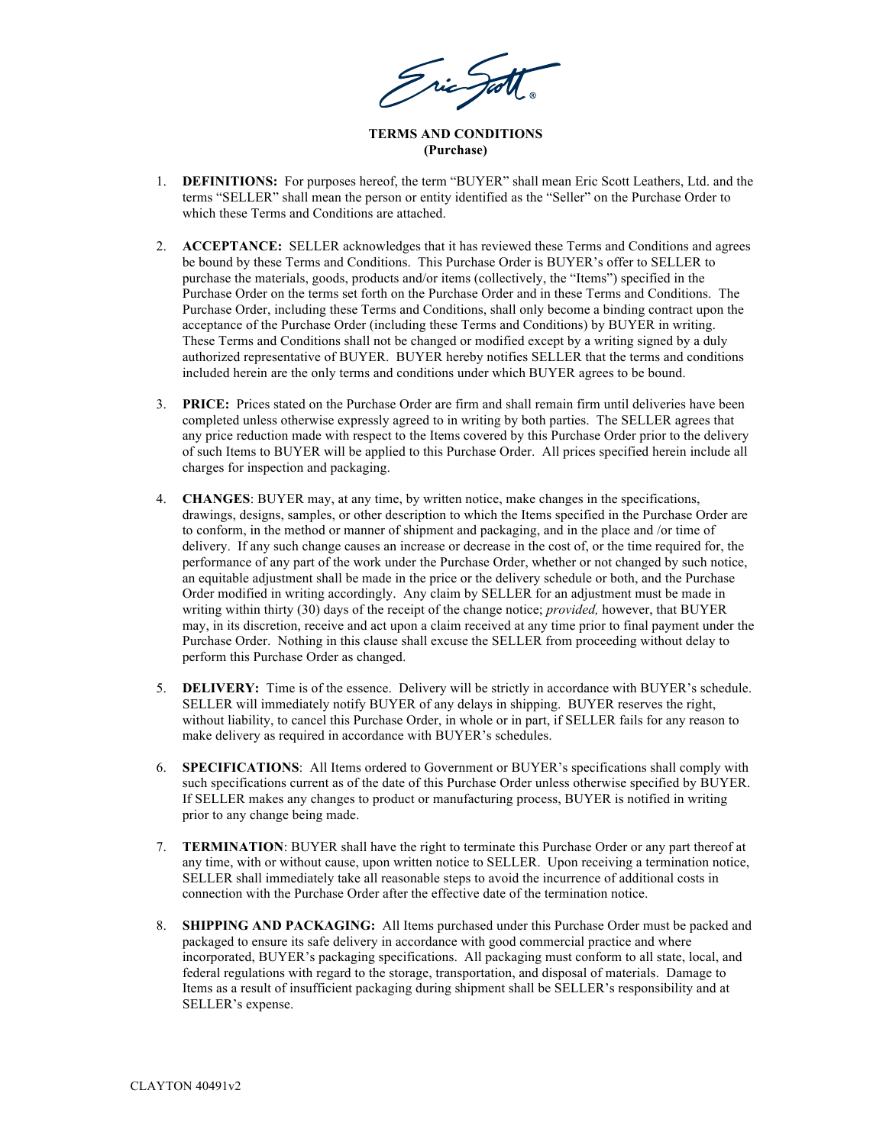Tric Just

**TERMS AND CONDITIONS (Purchase)**

- 1. **DEFINITIONS:** For purposes hereof, the term "BUYER" shall mean Eric Scott Leathers, Ltd. and the terms "SELLER" shall mean the person or entity identified as the "Seller" on the Purchase Order to which these Terms and Conditions are attached.
- 2. **ACCEPTANCE:** SELLER acknowledges that it has reviewed these Terms and Conditions and agrees be bound by these Terms and Conditions. This Purchase Order is BUYER's offer to SELLER to purchase the materials, goods, products and/or items (collectively, the "Items") specified in the Purchase Order on the terms set forth on the Purchase Order and in these Terms and Conditions. The Purchase Order, including these Terms and Conditions, shall only become a binding contract upon the acceptance of the Purchase Order (including these Terms and Conditions) by BUYER in writing. These Terms and Conditions shall not be changed or modified except by a writing signed by a duly authorized representative of BUYER. BUYER hereby notifies SELLER that the terms and conditions included herein are the only terms and conditions under which BUYER agrees to be bound.
- 3. **PRICE:** Prices stated on the Purchase Order are firm and shall remain firm until deliveries have been completed unless otherwise expressly agreed to in writing by both parties. The SELLER agrees that any price reduction made with respect to the Items covered by this Purchase Order prior to the delivery of such Items to BUYER will be applied to this Purchase Order. All prices specified herein include all charges for inspection and packaging.
- 4. **CHANGES**: BUYER may, at any time, by written notice, make changes in the specifications, drawings, designs, samples, or other description to which the Items specified in the Purchase Order are to conform, in the method or manner of shipment and packaging, and in the place and /or time of delivery. If any such change causes an increase or decrease in the cost of, or the time required for, the performance of any part of the work under the Purchase Order, whether or not changed by such notice, an equitable adjustment shall be made in the price or the delivery schedule or both, and the Purchase Order modified in writing accordingly. Any claim by SELLER for an adjustment must be made in writing within thirty (30) days of the receipt of the change notice; *provided,* however, that BUYER may, in its discretion, receive and act upon a claim received at any time prior to final payment under the Purchase Order. Nothing in this clause shall excuse the SELLER from proceeding without delay to perform this Purchase Order as changed.
- 5. **DELIVERY:** Time is of the essence. Delivery will be strictly in accordance with BUYER's schedule. SELLER will immediately notify BUYER of any delays in shipping. BUYER reserves the right, without liability, to cancel this Purchase Order, in whole or in part, if SELLER fails for any reason to make delivery as required in accordance with BUYER's schedules.
- 6. **SPECIFICATIONS**: All Items ordered to Government or BUYER's specifications shall comply with such specifications current as of the date of this Purchase Order unless otherwise specified by BUYER. If SELLER makes any changes to product or manufacturing process, BUYER is notified in writing prior to any change being made.
- 7. **TERMINATION**: BUYER shall have the right to terminate this Purchase Order or any part thereof at any time, with or without cause, upon written notice to SELLER. Upon receiving a termination notice, SELLER shall immediately take all reasonable steps to avoid the incurrence of additional costs in connection with the Purchase Order after the effective date of the termination notice.
- 8. **SHIPPING AND PACKAGING:** All Items purchased under this Purchase Order must be packed and packaged to ensure its safe delivery in accordance with good commercial practice and where incorporated, BUYER's packaging specifications. All packaging must conform to all state, local, and federal regulations with regard to the storage, transportation, and disposal of materials. Damage to Items as a result of insufficient packaging during shipment shall be SELLER's responsibility and at SELLER's expense.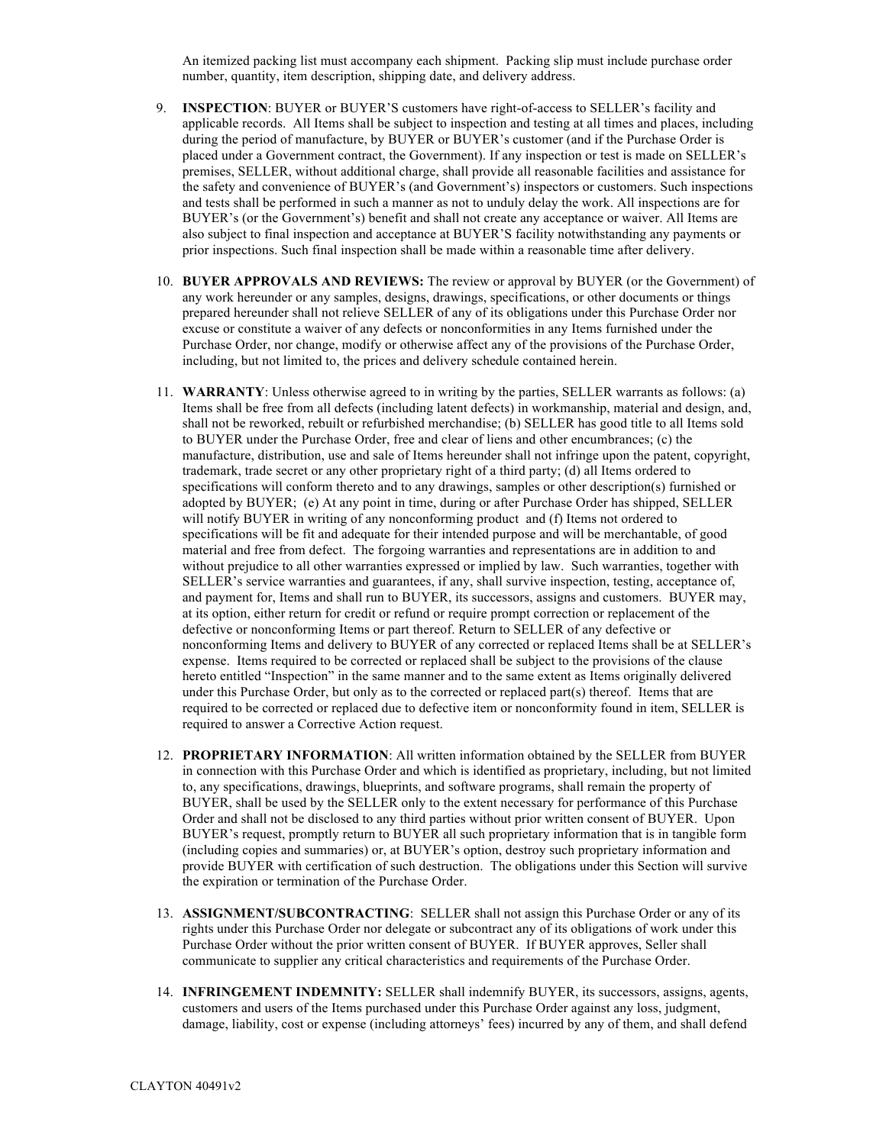An itemized packing list must accompany each shipment. Packing slip must include purchase order number, quantity, item description, shipping date, and delivery address.

- 9. **INSPECTION**: BUYER or BUYER'S customers have right-of-access to SELLER's facility and applicable records. All Items shall be subject to inspection and testing at all times and places, including during the period of manufacture, by BUYER or BUYER's customer (and if the Purchase Order is placed under a Government contract, the Government). If any inspection or test is made on SELLER's premises, SELLER, without additional charge, shall provide all reasonable facilities and assistance for the safety and convenience of BUYER's (and Government's) inspectors or customers. Such inspections and tests shall be performed in such a manner as not to unduly delay the work. All inspections are for BUYER's (or the Government's) benefit and shall not create any acceptance or waiver. All Items are also subject to final inspection and acceptance at BUYER'S facility notwithstanding any payments or prior inspections. Such final inspection shall be made within a reasonable time after delivery.
- 10. **BUYER APPROVALS AND REVIEWS:** The review or approval by BUYER (or the Government) of any work hereunder or any samples, designs, drawings, specifications, or other documents or things prepared hereunder shall not relieve SELLER of any of its obligations under this Purchase Order nor excuse or constitute a waiver of any defects or nonconformities in any Items furnished under the Purchase Order, nor change, modify or otherwise affect any of the provisions of the Purchase Order, including, but not limited to, the prices and delivery schedule contained herein.
- 11. **WARRANTY**: Unless otherwise agreed to in writing by the parties, SELLER warrants as follows: (a) Items shall be free from all defects (including latent defects) in workmanship, material and design, and, shall not be reworked, rebuilt or refurbished merchandise; (b) SELLER has good title to all Items sold to BUYER under the Purchase Order, free and clear of liens and other encumbrances; (c) the manufacture, distribution, use and sale of Items hereunder shall not infringe upon the patent, copyright, trademark, trade secret or any other proprietary right of a third party; (d) all Items ordered to specifications will conform thereto and to any drawings, samples or other description(s) furnished or adopted by BUYER; (e) At any point in time, during or after Purchase Order has shipped, SELLER will notify BUYER in writing of any nonconforming product and (f) Items not ordered to specifications will be fit and adequate for their intended purpose and will be merchantable, of good material and free from defect. The forgoing warranties and representations are in addition to and without prejudice to all other warranties expressed or implied by law. Such warranties, together with SELLER's service warranties and guarantees, if any, shall survive inspection, testing, acceptance of, and payment for, Items and shall run to BUYER, its successors, assigns and customers. BUYER may, at its option, either return for credit or refund or require prompt correction or replacement of the defective or nonconforming Items or part thereof. Return to SELLER of any defective or nonconforming Items and delivery to BUYER of any corrected or replaced Items shall be at SELLER's expense. Items required to be corrected or replaced shall be subject to the provisions of the clause hereto entitled "Inspection" in the same manner and to the same extent as Items originally delivered under this Purchase Order, but only as to the corrected or replaced part(s) thereof. Items that are required to be corrected or replaced due to defective item or nonconformity found in item, SELLER is required to answer a Corrective Action request.
- 12. **PROPRIETARY INFORMATION**: All written information obtained by the SELLER from BUYER in connection with this Purchase Order and which is identified as proprietary, including, but not limited to, any specifications, drawings, blueprints, and software programs, shall remain the property of BUYER, shall be used by the SELLER only to the extent necessary for performance of this Purchase Order and shall not be disclosed to any third parties without prior written consent of BUYER. Upon BUYER's request, promptly return to BUYER all such proprietary information that is in tangible form (including copies and summaries) or, at BUYER's option, destroy such proprietary information and provide BUYER with certification of such destruction. The obligations under this Section will survive the expiration or termination of the Purchase Order.
- 13. **ASSIGNMENT/SUBCONTRACTING**: SELLER shall not assign this Purchase Order or any of its rights under this Purchase Order nor delegate or subcontract any of its obligations of work under this Purchase Order without the prior written consent of BUYER. If BUYER approves, Seller shall communicate to supplier any critical characteristics and requirements of the Purchase Order.
- 14. **INFRINGEMENT INDEMNITY:** SELLER shall indemnify BUYER, its successors, assigns, agents, customers and users of the Items purchased under this Purchase Order against any loss, judgment, damage, liability, cost or expense (including attorneys' fees) incurred by any of them, and shall defend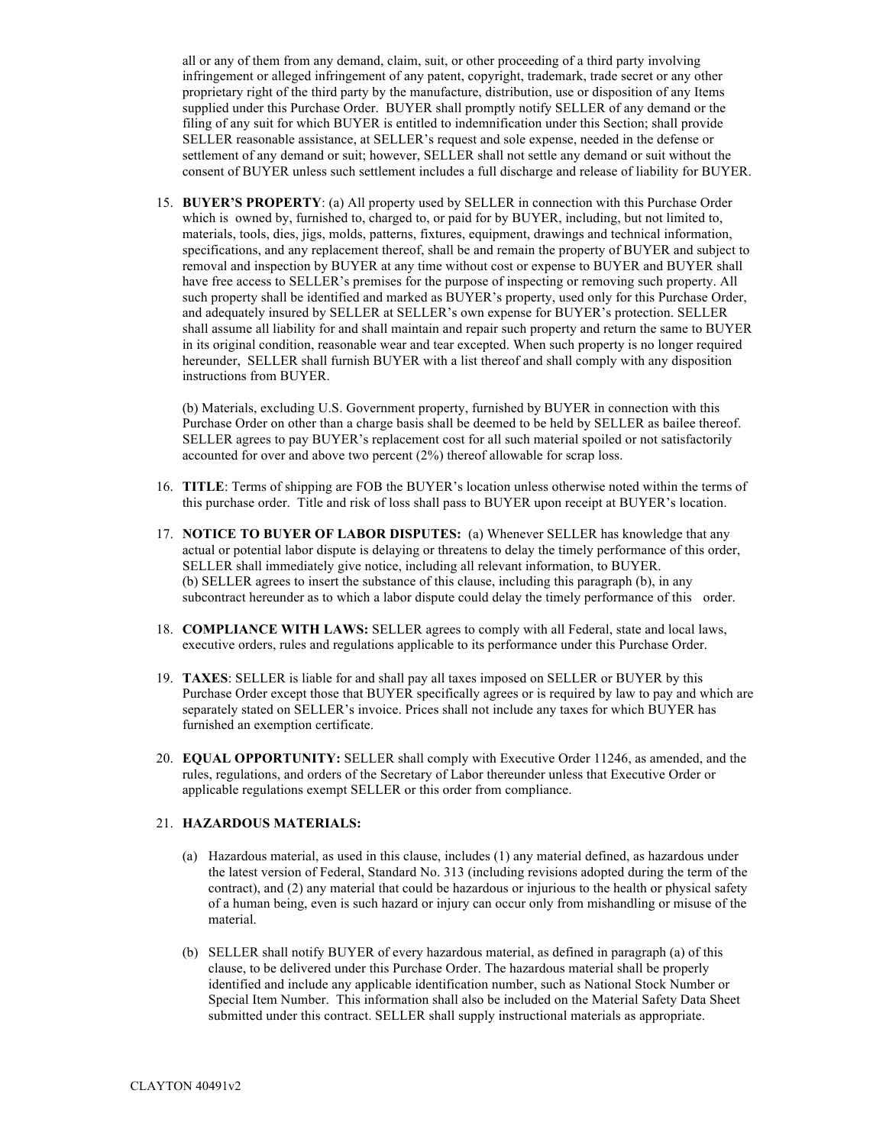all or any of them from any demand, claim, suit, or other proceeding of a third party involving infringement or alleged infringement of any patent, copyright, trademark, trade secret or any other proprietary right of the third party by the manufacture, distribution, use or disposition of any Items supplied under this Purchase Order. BUYER shall promptly notify SELLER of any demand or the filing of any suit for which BUYER is entitled to indemnification under this Section; shall provide SELLER reasonable assistance, at SELLER's request and sole expense, needed in the defense or settlement of any demand or suit; however, SELLER shall not settle any demand or suit without the consent of BUYER unless such settlement includes a full discharge and release of liability for BUYER.

15. **BUYER'S PROPERTY**: (a) All property used by SELLER in connection with this Purchase Order which is owned by, furnished to, charged to, or paid for by BUYER, including, but not limited to, materials, tools, dies, jigs, molds, patterns, fixtures, equipment, drawings and technical information, specifications, and any replacement thereof, shall be and remain the property of BUYER and subject to removal and inspection by BUYER at any time without cost or expense to BUYER and BUYER shall have free access to SELLER's premises for the purpose of inspecting or removing such property. All such property shall be identified and marked as BUYER's property, used only for this Purchase Order, and adequately insured by SELLER at SELLER's own expense for BUYER's protection. SELLER shall assume all liability for and shall maintain and repair such property and return the same to BUYER in its original condition, reasonable wear and tear excepted. When such property is no longer required hereunder, SELLER shall furnish BUYER with a list thereof and shall comply with any disposition instructions from BUYER.

(b) Materials, excluding U.S. Government property, furnished by BUYER in connection with this Purchase Order on other than a charge basis shall be deemed to be held by SELLER as bailee thereof. SELLER agrees to pay BUYER's replacement cost for all such material spoiled or not satisfactorily accounted for over and above two percent (2%) thereof allowable for scrap loss.

- 16. **TITLE**: Terms of shipping are FOB the BUYER's location unless otherwise noted within the terms of this purchase order. Title and risk of loss shall pass to BUYER upon receipt at BUYER's location.
- 17. **NOTICE TO BUYER OF LABOR DISPUTES:** (a) Whenever SELLER has knowledge that any actual or potential labor dispute is delaying or threatens to delay the timely performance of this order, SELLER shall immediately give notice, including all relevant information, to BUYER. (b) SELLER agrees to insert the substance of this clause, including this paragraph (b), in any subcontract hereunder as to which a labor dispute could delay the timely performance of this order.
- 18. **COMPLIANCE WITH LAWS:** SELLER agrees to comply with all Federal, state and local laws, executive orders, rules and regulations applicable to its performance under this Purchase Order.
- 19. **TAXES**: SELLER is liable for and shall pay all taxes imposed on SELLER or BUYER by this Purchase Order except those that BUYER specifically agrees or is required by law to pay and which are separately stated on SELLER's invoice. Prices shall not include any taxes for which BUYER has furnished an exemption certificate.
- 20. **EQUAL OPPORTUNITY:** SELLER shall comply with Executive Order 11246, as amended, and the rules, regulations, and orders of the Secretary of Labor thereunder unless that Executive Order or applicable regulations exempt SELLER or this order from compliance.

## 21. **HAZARDOUS MATERIALS:**

- (a) Hazardous material, as used in this clause, includes (1) any material defined, as hazardous under the latest version of Federal, Standard No. 313 (including revisions adopted during the term of the contract), and (2) any material that could be hazardous or injurious to the health or physical safety of a human being, even is such hazard or injury can occur only from mishandling or misuse of the material.
- (b) SELLER shall notify BUYER of every hazardous material, as defined in paragraph (a) of this clause, to be delivered under this Purchase Order. The hazardous material shall be properly identified and include any applicable identification number, such as National Stock Number or Special Item Number. This information shall also be included on the Material Safety Data Sheet submitted under this contract. SELLER shall supply instructional materials as appropriate.